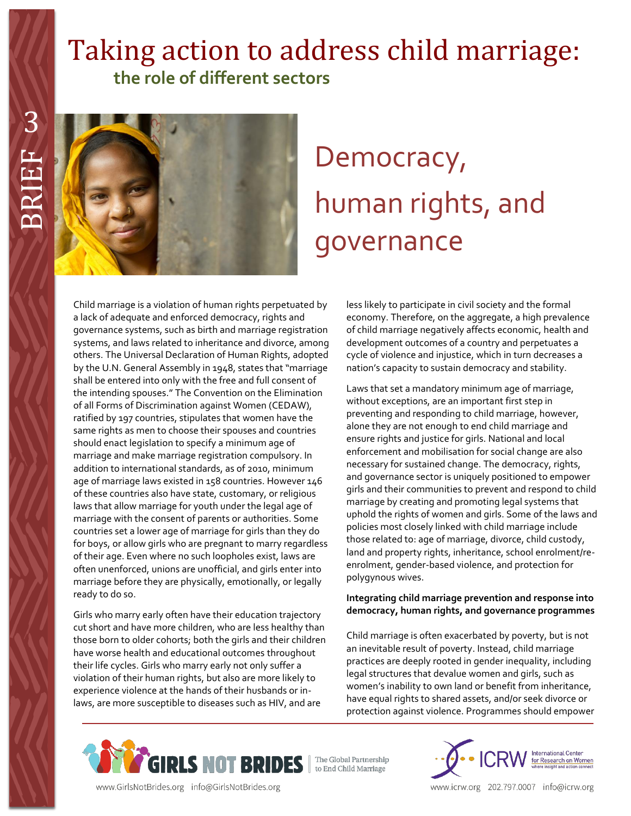# Taking action to address child marriage:  **the role of different sectors**



# Democracy, human rights, and governance

Child marriage is a violation of human rights perpetuated by a lack of adequate and enforced democracy, rights and governance systems, such as birth and marriage registration systems, and laws related to inheritance and divorce, among others. The Universal Declaration of Human Rights, adopted by the U.N. General Assembly in 1948, states that "marriage shall be entered into only with the free and full consent of the intending spouses." The Convention on the Elimination of all Forms of Discrimination against Women (CEDAW), ratified by 197 countries, stipulates that women have the same rights as men to choose their spouses and countries should enact legislation to specify a minimum age of marriage and make marriage registration compulsory. In addition to international standards, as of 2010, minimum age of marriage laws existed in 158 countries. However 146 of these countries also have state, customary, or religious laws that allow marriage for youth under the legal age of marriage with the consent of parents or authorities. Some countries set a lower age of marriage for girls than they do for boys, or allow girls who are pregnant to marry regardless of their age. Even where no such loopholes exist, laws are often unenforced, unions are unofficial, and girls enter into marriage before they are physically, emotionally, or legally ready to do so.

Girls who marry early often have their education trajectory cut short and have more children, who are less healthy than those born to older cohorts; both the girls and their children have worse health and educational outcomes throughout their life cycles. Girls who marry early not only suffer a violation of their human rights, but also are more likely to experience violence at the hands of their husbands or inlaws, are more susceptible to diseases such as HIV, and are

less likely to participate in civil society and the formal economy. Therefore, on the aggregate, a high prevalence of child marriage negatively affects economic, health and development outcomes of a country and perpetuates a cycle of violence and injustice, which in turn decreases a nation's capacity to sustain democracy and stability.

Laws that set a mandatory minimum age of marriage, without exceptions, are an important first step in preventing and responding to child marriage, however, alone they are not enough to end child marriage and ensure rights and justice for girls. National and local enforcement and mobilisation for social change are also necessary for sustained change. The democracy, rights, and governance sector is uniquely positioned to empower girls and their communities to prevent and respond to child marriage by creating and promoting legal systems that uphold the rights of women and girls. Some of the laws and policies most closely linked with child marriage include those related to: age of marriage, divorce, child custody, land and property rights, inheritance, school enrolment/reenrolment, gender-based violence, and protection for polygynous wives.

### **Integrating child marriage prevention and response into democracy, human rights, and governance programmes**

Child marriage is often exacerbated by poverty, but is not an inevitable result of poverty. Instead, child marriage practices are deeply rooted in gender inequality, including legal structures that devalue women and girls, such as women's inability to own land or benefit from inheritance, have equal rights to shared assets, and/or seek divorce or protection against violence. Programmes should empower





www.GirlsNotBrides.org info@GirlsNotBrides.org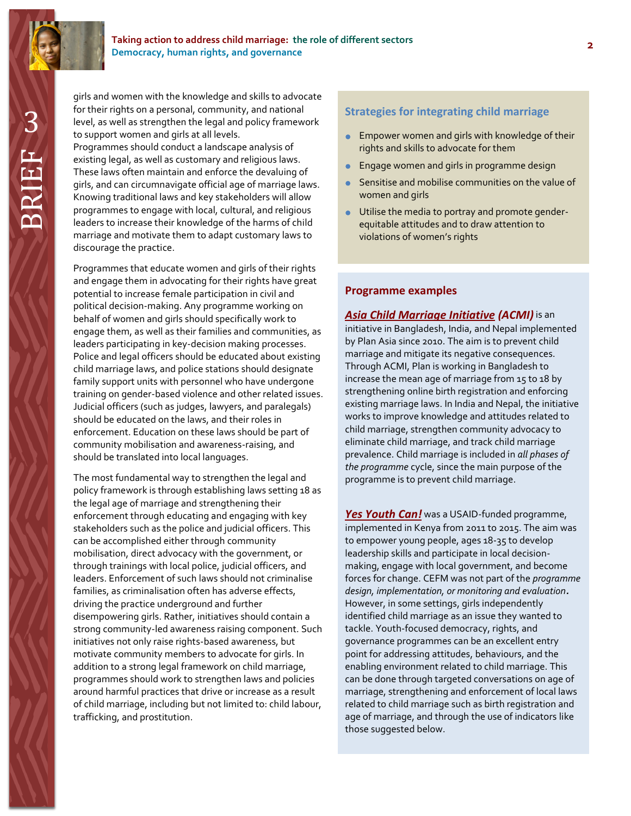

3 BRIEF girls and women with the knowledge and skills to advocate for their rights on a personal, community, and national level, as well as strengthen the legal and policy framework to support women and girls at all levels. Programmes should conduct a landscape analysis of

existing legal, as well as customary and religious laws. These laws often maintain and enforce the devaluing of girls, and can circumnavigate official age of marriage laws. Knowing traditional laws and key stakeholders will allow programmes to engage with local, cultural, and religious leaders to increase their knowledge of the harms of child marriage and motivate them to adapt customary laws to discourage the practice.

Programmes that educate women and girls of their rights and engage them in advocating for their rights have great potential to increase female participation in civil and political decision-making. Any programme working on behalf of women and girls should specifically work to engage them, as well as their families and communities, as leaders participating in key-decision making processes. Police and legal officers should be educated about existing child marriage laws, and police stations should designate family support units with personnel who have undergone training on gender-based violence and other related issues. Judicial officers (such as judges, lawyers, and paralegals) should be educated on the laws, and their roles in enforcement. Education on these laws should be part of community mobilisation and awareness-raising, and should be translated into local languages.

The most fundamental way to strengthen the legal and policy framework is through establishing laws setting 18 as the legal age of marriage and strengthening their enforcement through educating and engaging with key stakeholders such as the police and judicial officers. This can be accomplished either through community mobilisation, direct advocacy with the government, or through trainings with local police, judicial officers, and leaders. Enforcement of such laws should not criminalise families, as criminalisation often has adverse effects, driving the practice underground and further disempowering girls. Rather, initiatives should contain a strong community-led awareness raising component. Such initiatives not only raise rights-based awareness, but motivate community members to advocate for girls. In addition to a strong legal framework on child marriage, programmes should work to strengthen laws and policies around harmful practices that drive or increase as a result of child marriage, including but not limited to: child labour, trafficking, and prostitution.

# 3**Strategies for integrating child marriage**

- **Empower women and girls with knowledge of their** rights and skills to advocate for them
- **Engage women and girls in programme design**
- **Sensitise and mobilise communities on the value of** women and girls
- Utilise the media to portray and promote genderequitable attitudes and to draw attention to violations of women's rights

#### **Programme examples**

#### *[Asia Child Marriage Initiative](http://www.icrw.org/files/publications/PLAN%20ASIA%20Child%20Marriage-3%20Country%20Study.pdf) (ACMI)* is an

initiative in Bangladesh, India, and Nepal implemented by Plan Asia since 2010. The aim is to prevent child marriage and mitigate its negative consequences. Through ACMI, Plan is working in Bangladesh to increase the mean age of marriage from 15 to 18 by strengthening online birth registration and enforcing existing marriage laws. In India and Nepal, the initiative works to improve knowledge and attitudes related to child marriage, strengthen community advocacy to eliminate child marriage, and track child marriage prevalence. Child marriage is included in *all phases of the programme* cycle, since the main purpose of the programme is to prevent child marriage.

*[Yes Youth Can!](http://www.usaid.gov/sites/default/files/documents/1860/YYC%20National%20Fact%20Sheet%20Nov%202014.pdf)* was a USAID-funded programme, implemented in Kenya from 2011 to 2015. The aim was to empower young people, ages 18-35 to develop leadership skills and participate in local decisionmaking, engage with local government, and become forces for change. CEFM was not part of the *programme design, implementation, or monitoring and evaluation.*  However, in some settings, girls independently identified child marriage as an issue they wanted to tackle. Youth-focused democracy, rights, and governance programmes can be an excellent entry point for addressing attitudes, behaviours, and the enabling environment related to child marriage. This can be done through targeted conversations on age of marriage, strengthening and enforcement of local laws related to child marriage such as birth registration and age of marriage, and through the use of indicators like those suggested below.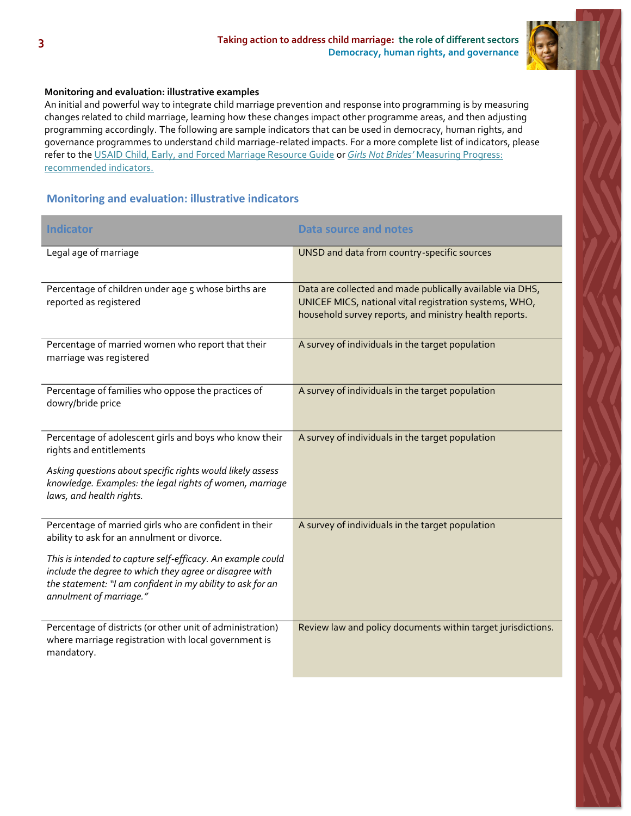

#### **Monitoring and evaluation: illustrative examples**

An initial and powerful way to integrate child marriage prevention and response into programming is by measuring changes related to child marriage, learning how these changes impact other programme areas, and then adjusting programming accordingly. The following are sample indicators that can be used in democracy, human rights, and governance programmes to understand child marriage-related impacts. For a more complete list of indicators, please refer to th[e USAID Child, Early, and Forced Marriage Resource Guide](https://www.usaid.gov/what-we-do/gender-equality-and-womens-empowerment/child-marriage) or *Girls Not Brides'* [Measuring Progress:](http://www.girlsnotbrides.org/these-indicators-will-help-measure-your-progress-towards-ending-child-marriage/) recommended indicators.

# **Monitoring and evaluation: illustrative indicators**

| <b>Indicator</b>                                                                                                                                                                                                | <b>Data source and notes</b>                                                                                                                                                  |
|-----------------------------------------------------------------------------------------------------------------------------------------------------------------------------------------------------------------|-------------------------------------------------------------------------------------------------------------------------------------------------------------------------------|
| Legal age of marriage                                                                                                                                                                                           | UNSD and data from country-specific sources                                                                                                                                   |
| Percentage of children under age 5 whose births are<br>reported as registered                                                                                                                                   | Data are collected and made publically available via DHS,<br>UNICEF MICS, national vital registration systems, WHO,<br>household survey reports, and ministry health reports. |
| Percentage of married women who report that their<br>marriage was registered                                                                                                                                    | A survey of individuals in the target population                                                                                                                              |
| Percentage of families who oppose the practices of<br>dowry/bride price                                                                                                                                         | A survey of individuals in the target population                                                                                                                              |
| Percentage of adolescent girls and boys who know their<br>rights and entitlements                                                                                                                               | A survey of individuals in the target population                                                                                                                              |
| Asking questions about specific rights would likely assess<br>knowledge. Examples: the legal rights of women, marriage<br>laws, and health rights.                                                              |                                                                                                                                                                               |
| Percentage of married girls who are confident in their<br>ability to ask for an annulment or divorce.                                                                                                           | A survey of individuals in the target population                                                                                                                              |
| This is intended to capture self-efficacy. An example could<br>include the degree to which they agree or disagree with<br>the statement: "I am confident in my ability to ask for an<br>annulment of marriage." |                                                                                                                                                                               |
| Percentage of districts (or other unit of administration)<br>where marriage registration with local government is<br>mandatory.                                                                                 | Review law and policy documents within target jurisdictions.                                                                                                                  |